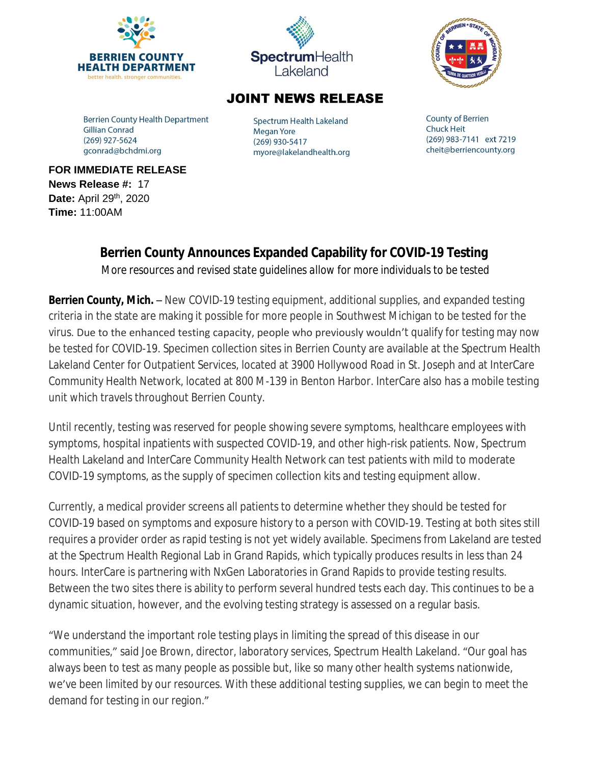



## **JOINT NEWS RELEASE**

**Berrien County Health Department Gillian Conrad** (269) 927-5624 gconrad@bchdmi.org

Spectrum Health Lakeland **Megan Yore** (269) 930-5417 myore@lakelandhealth.org **County of Berrien Chuck Heit** (269) 983-7141 ext 7219 cheit@berriencounty.org

**FOR IMMEDIATE RELEASE News Release #:** 17 **Date:** April 29th, 2020 **Time:** 11:00AM

## **Berrien County Announces Expanded Capability for COVID-19 Testing**

*More resources and revised state guidelines allow for more individuals to be tested*

**Berrien County, Mich.** – New COVID-19 testing equipment, additional supplies, and expanded testing criteria in the state are making it possible for more people in Southwest Michigan to be tested for the virus. Due to the enhanced testing capacity, people who previously wouldn't qualify for testing may now be tested for COVID-19. Specimen collection sites in Berrien County are available at the Spectrum Health Lakeland Center for Outpatient Services, located at 3900 Hollywood Road in St. Joseph and at InterCare Community Health Network, located at 800 M-139 in Benton Harbor. InterCare also has a mobile testing unit which travels throughout Berrien County.

Until recently, testing was reserved for people showing severe symptoms, healthcare employees with symptoms, hospital inpatients with suspected COVID-19, and other high-risk patients. Now, Spectrum Health Lakeland and InterCare Community Health Network can test patients with mild to moderate COVID-19 symptoms, as the supply of specimen collection kits and testing equipment allow.

Currently, a medical provider screens all patients to determine whether they should be tested for COVID-19 based on symptoms and exposure history to a person with COVID-19. Testing at both sites still requires a provider order as rapid testing is not yet widely available. Specimens from Lakeland are tested at the Spectrum Health Regional Lab in Grand Rapids, which typically produces results in less than 24 hours. InterCare is partnering with NxGen Laboratories in Grand Rapids to provide testing results. Between the two sites there is ability to perform several hundred tests each day. This continues to be a dynamic situation, however, and the evolving testing strategy is assessed on a regular basis.

"We understand the important role testing plays in limiting the spread of this disease in our communities," said Joe Brown, director, laboratory services, Spectrum Health Lakeland. "Our goal has always been to test as many people as possible but, like so many other health systems nationwide, we've been limited by our resources. With these additional testing supplies, we can begin to meet the demand for testing in our region."